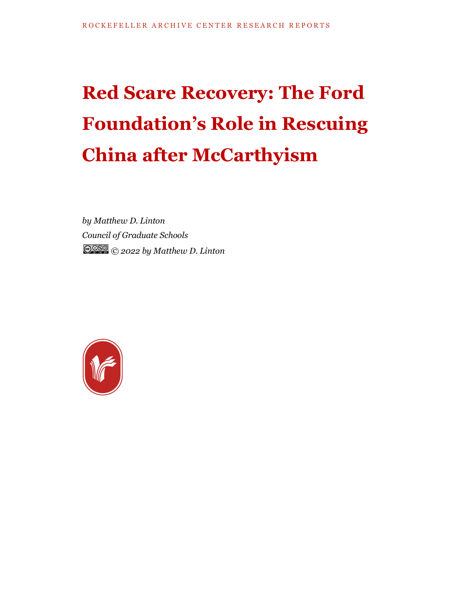## **Red Scare Recovery: The Ford Foundation's Role in Rescuing China after McCarthyism**

*by Matthew D. Linton Council of Graduate Schools © 2022 by Matthew D. Linton*

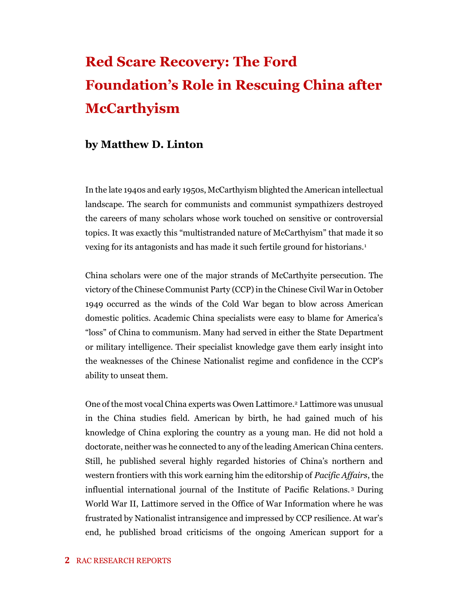## **Red Scare Recovery: The Ford Foundation's Role in Rescuing China after McCarthyism**

## **by Matthew D. Linton**

In the late 1940s and early 1950s, McCarthyism blighted the American intellectual landscape. The search for communists and communist sympathizers destroyed the careers of many scholars whose work touched on sensitive or controversial topics. It was exactly this "multistranded nature of McCarthyism" that made it so vexing for its antagonists and has made it such fertile ground for historians.<sup>1</sup>

China scholars were one of the major strands of McCarthyite persecution. The victory of the Chinese Communist Party (CCP) in the Chinese Civil War in October 1949 occurred as the winds of the Cold War began to blow across American domestic politics. Academic China specialists were easy to blame for America's "loss" of China to communism. Many had served in either the State Department or military intelligence. Their specialist knowledge gave them early insight into the weaknesses of the Chinese Nationalist regime and confidence in the CCP's ability to unseat them.

One of the most vocal China experts was Owen Lattimore. <sup>2</sup> Lattimore was unusual in the China studies field. American by birth, he had gained much of his knowledge of China exploring the country as a young man. He did not hold a doctorate, neither was he connected to any of the leading American China centers. Still, he published several highly regarded histories of China's northern and western frontiers with this work earning him the editorship of *Pacific Affairs*, the influential international journal of the Institute of Pacific Relations. <sup>3</sup> During World War II, Lattimore served in the Office of War Information where he was frustrated by Nationalist intransigence and impressed by CCP resilience. At war's end, he published broad criticisms of the ongoing American support for a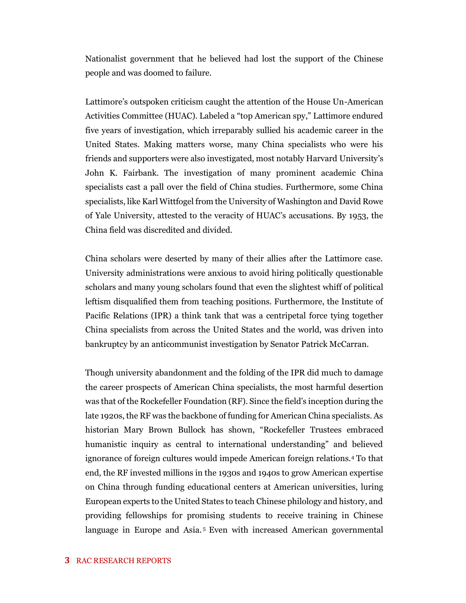Nationalist government that he believed had lost the support of the Chinese people and was doomed to failure.

Lattimore's outspoken criticism caught the attention of the House Un-American Activities Committee (HUAC). Labeled a "top American spy," Lattimore endured five years of investigation, which irreparably sullied his academic career in the United States. Making matters worse, many China specialists who were his friends and supporters were also investigated, most notably Harvard University's John K. Fairbank. The investigation of many prominent academic China specialists cast a pall over the field of China studies. Furthermore, some China specialists, like Karl Wittfogel from the University of Washington and David Rowe of Yale University, attested to the veracity of HUAC's accusations. By 1953, the China field was discredited and divided.

China scholars were deserted by many of their allies after the Lattimore case. University administrations were anxious to avoid hiring politically questionable scholars and many young scholars found that even the slightest whiff of political leftism disqualified them from teaching positions. Furthermore, the Institute of Pacific Relations (IPR) a think tank that was a centripetal force tying together China specialists from across the United States and the world, was driven into bankruptcy by an anticommunist investigation by Senator Patrick McCarran.

Though university abandonment and the folding of the IPR did much to damage the career prospects of American China specialists, the most harmful desertion was that of the Rockefeller Foundation (RF). Since the field's inception during the late 1920s, the RF was the backbone of funding for American China specialists. As historian Mary Brown Bullock has shown, "Rockefeller Trustees embraced humanistic inquiry as central to international understanding" and believed ignorance of foreign cultures would impede American foreign relations.<sup>4</sup> To that end, the RF invested millions in the 1930s and 1940s to grow American expertise on China through funding educational centers at American universities, luring European experts to the United States to teach Chinese philology and history, and providing fellowships for promising students to receive training in Chinese language in Europe and Asia.<sup>5</sup> Even with increased American governmental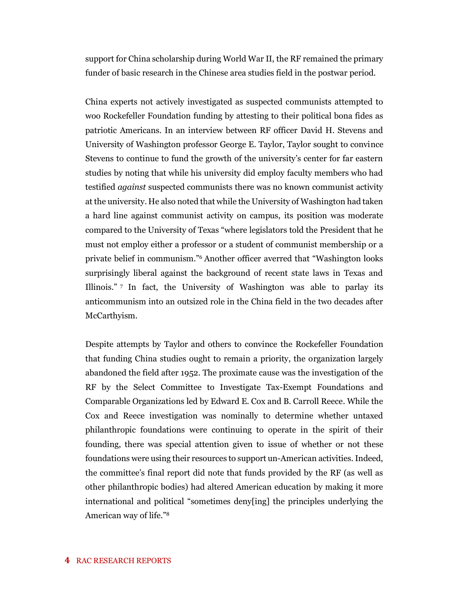support for China scholarship during World War II, the RF remained the primary funder of basic research in the Chinese area studies field in the postwar period.

China experts not actively investigated as suspected communists attempted to woo Rockefeller Foundation funding by attesting to their political bona fides as patriotic Americans. In an interview between RF officer David H. Stevens and University of Washington professor George E. Taylor, Taylor sought to convince Stevens to continue to fund the growth of the university's center for far eastern studies by noting that while his university did employ faculty members who had testified *against* suspected communists there was no known communist activity at the university. He also noted that while the University of Washington had taken a hard line against communist activity on campus, its position was moderate compared to the University of Texas "where legislators told the President that he must not employ either a professor or a student of communist membership or a private belief in communism."<sup>6</sup> Another officer averred that "Washington looks surprisingly liberal against the background of recent state laws in Texas and Illinois." <sup>7</sup> In fact, the University of Washington was able to parlay its anticommunism into an outsized role in the China field in the two decades after McCarthyism.

Despite attempts by Taylor and others to convince the Rockefeller Foundation that funding China studies ought to remain a priority, the organization largely abandoned the field after 1952. The proximate cause was the investigation of the RF by the Select Committee to Investigate Tax-Exempt Foundations and Comparable Organizations led by Edward E. Cox and B. Carroll Reece. While the Cox and Reece investigation was nominally to determine whether untaxed philanthropic foundations were continuing to operate in the spirit of their founding, there was special attention given to issue of whether or not these foundations were using their resources to support un-American activities. Indeed, the committee's final report did note that funds provided by the RF (as well as other philanthropic bodies) had altered American education by making it more international and political "sometimes deny[ing] the principles underlying the American way of life."8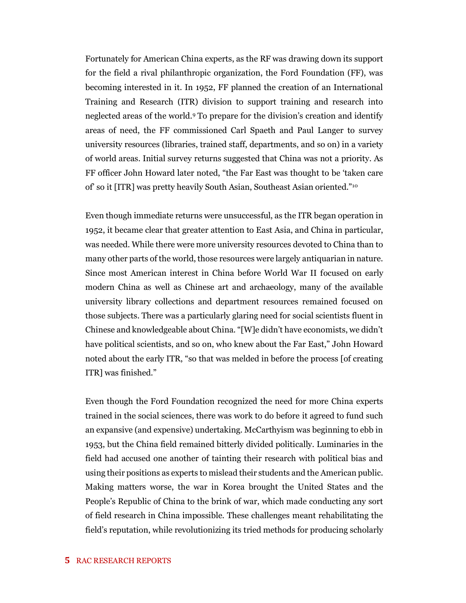Fortunately for American China experts, as the RF was drawing down its support for the field a rival philanthropic organization, the Ford Foundation (FF), was becoming interested in it. In 1952, FF planned the creation of an International Training and Research (ITR) division to support training and research into neglected areas of the world.<sup>9</sup> To prepare for the division's creation and identify areas of need, the FF commissioned Carl Spaeth and Paul Langer to survey university resources (libraries, trained staff, departments, and so on) in a variety of world areas. Initial survey returns suggested that China was not a priority. As FF officer John Howard later noted, "the Far East was thought to be 'taken care of' so it [ITR] was pretty heavily South Asian, Southeast Asian oriented."<sup>10</sup>

Even though immediate returns were unsuccessful, as the ITR began operation in 1952, it became clear that greater attention to East Asia, and China in particular, was needed. While there were more university resources devoted to China than to many other parts of the world, those resources were largely antiquarian in nature. Since most American interest in China before World War II focused on early modern China as well as Chinese art and archaeology, many of the available university library collections and department resources remained focused on those subjects. There was a particularly glaring need for social scientists fluent in Chinese and knowledgeable about China. "[W]e didn't have economists, we didn't have political scientists, and so on, who knew about the Far East," John Howard noted about the early ITR, "so that was melded in before the process [of creating ITR] was finished."

Even though the Ford Foundation recognized the need for more China experts trained in the social sciences, there was work to do before it agreed to fund such an expansive (and expensive) undertaking. McCarthyism was beginning to ebb in 1953, but the China field remained bitterly divided politically. Luminaries in the field had accused one another of tainting their research with political bias and using their positions as experts to mislead their students and the American public. Making matters worse, the war in Korea brought the United States and the People's Republic of China to the brink of war, which made conducting any sort of field research in China impossible. These challenges meant rehabilitating the field's reputation, while revolutionizing its tried methods for producing scholarly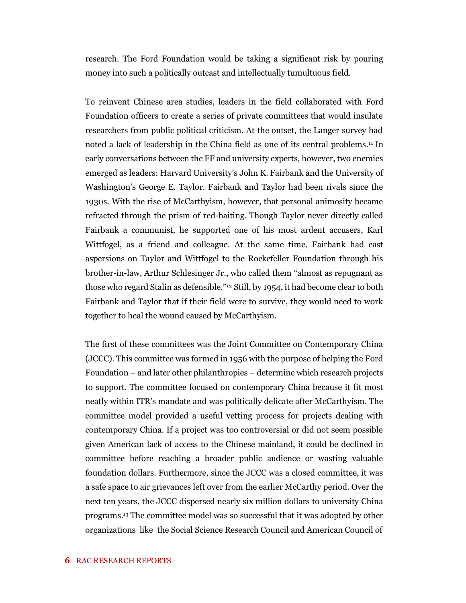research. The Ford Foundation would be taking a significant risk by pouring money into such a politically outcast and intellectually tumultuous field.

To reinvent Chinese area studies, leaders in the field collaborated with Ford Foundation officers to create a series of private committees that would insulate researchers from public political criticism. At the outset, the Langer survey had noted a lack of leadership in the China field as one of its central problems.<sup>11</sup> In early conversations between the FF and university experts, however, two enemies emerged as leaders: Harvard University's John K. Fairbank and the University of Washington's George E. Taylor. Fairbank and Taylor had been rivals since the 1930s. With the rise of McCarthyism, however, that personal animosity became refracted through the prism of red-baiting. Though Taylor never directly called Fairbank a communist, he supported one of his most ardent accusers, Karl Wittfogel, as a friend and colleague. At the same time, Fairbank had cast aspersions on Taylor and Wittfogel to the Rockefeller Foundation through his brother-in-law, Arthur Schlesinger Jr., who called them "almost as repugnant as those who regard Stalin as defensible."<sup>12</sup> Still, by 1954, it had become clear to both Fairbank and Taylor that if their field were to survive, they would need to work together to heal the wound caused by McCarthyism.

The first of these committees was the Joint Committee on Contemporary China (JCCC). This committee was formed in 1956 with the purpose of helping the Ford Foundation – and later other philanthropies – determine which research projects to support. The committee focused on contemporary China because it fit most neatly within ITR's mandate and was politically delicate after McCarthyism. The committee model provided a useful vetting process for projects dealing with contemporary China. If a project was too controversial or did not seem possible given American lack of access to the Chinese mainland, it could be declined in committee before reaching a broader public audience or wasting valuable foundation dollars. Furthermore, since the JCCC was a closed committee, it was a safe space to air grievances left over from the earlier McCarthy period. Over the next ten years, the JCCC dispersed nearly six million dollars to university China programs.<sup>13</sup> The committee model was so successful that it was adopted by other organizations like the Social Science Research Council and American Council of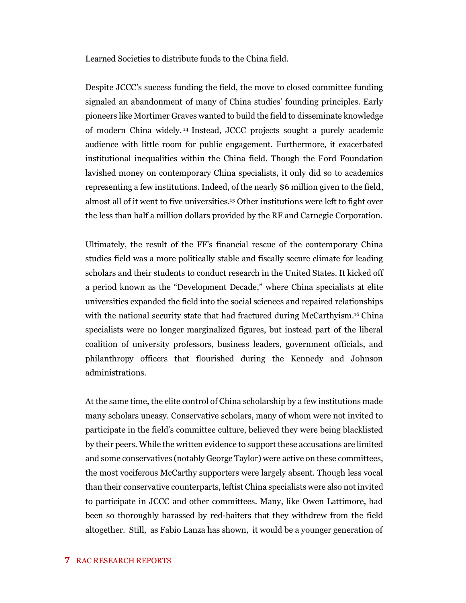Learned Societies to distribute funds to the China field.

Despite JCCC's success funding the field, the move to closed committee funding signaled an abandonment of many of China studies' founding principles. Early pioneers like Mortimer Graves wanted to build the field to disseminate knowledge of modern China widely. <sup>14</sup> Instead, JCCC projects sought a purely academic audience with little room for public engagement. Furthermore, it exacerbated institutional inequalities within the China field. Though the Ford Foundation lavished money on contemporary China specialists, it only did so to academics representing a few institutions. Indeed, of the nearly \$6 million given to the field, almost all of it went to five universities.<sup>15</sup> Other institutions were left to fight over the less than half a million dollars provided by the RF and Carnegie Corporation.

Ultimately, the result of the FF's financial rescue of the contemporary China studies field was a more politically stable and fiscally secure climate for leading scholars and their students to conduct research in the United States. It kicked off a period known as the "Development Decade," where China specialists at elite universities expanded the field into the social sciences and repaired relationships with the national security state that had fractured during McCarthyism.<sup>16</sup> China specialists were no longer marginalized figures, but instead part of the liberal coalition of university professors, business leaders, government officials, and philanthropy officers that flourished during the Kennedy and Johnson administrations.

At the same time, the elite control of China scholarship by a few institutions made many scholars uneasy. Conservative scholars, many of whom were not invited to participate in the field's committee culture, believed they were being blacklisted by their peers. While the written evidence to support these accusations are limited and some conservatives (notably George Taylor) were active on these committees, the most vociferous McCarthy supporters were largely absent. Though less vocal than their conservative counterparts, leftist China specialists were also not invited to participate in JCCC and other committees. Many, like Owen Lattimore, had been so thoroughly harassed by red-baiters that they withdrew from the field altogether. Still, as Fabio Lanza has shown, it would be a younger generation of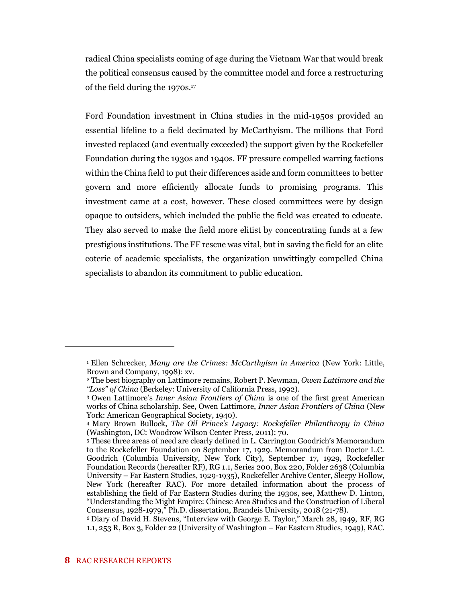radical China specialists coming of age during the Vietnam War that would break the political consensus caused by the committee model and force a restructuring of the field during the 1970s.<sup>17</sup>

Ford Foundation investment in China studies in the mid-1950s provided an essential lifeline to a field decimated by McCarthyism. The millions that Ford invested replaced (and eventually exceeded) the support given by the Rockefeller Foundation during the 1930s and 1940s. FF pressure compelled warring factions within the China field to put their differences aside and form committees to better govern and more efficiently allocate funds to promising programs. This investment came at a cost, however. These closed committees were by design opaque to outsiders, which included the public the field was created to educate. They also served to make the field more elitist by concentrating funds at a few prestigious institutions. The FF rescue was vital, but in saving the field for an elite coterie of academic specialists, the organization unwittingly compelled China specialists to abandon its commitment to public education.

<sup>1</sup> Ellen Schrecker, *Many are the Crimes: McCarthyism in America* (New York: Little, Brown and Company, 1998): xv.

<sup>2</sup> The best biography on Lattimore remains, Robert P. Newman, *Owen Lattimore and the "Loss" of China* (Berkeley: University of California Press, 1992).

<sup>3</sup> Owen Lattimore's *Inner Asian Frontiers of China* is one of the first great American works of China scholarship. See, Owen Lattimore, *Inner Asian Frontiers of China* (New York: American Geographical Society, 1940).

<sup>4</sup> Mary Brown Bullock, *The Oil Prince's Legacy: Rockefeller Philanthropy in China* (Washington, DC: Woodrow Wilson Center Press, 2011): 70.

<sup>5</sup> These three areas of need are clearly defined in L. Carrington Goodrich's Memorandum to the Rockefeller Foundation on September 17, 1929. Memorandum from Doctor L.C. Goodrich (Columbia University, New York City), September 17, 1929, Rockefeller Foundation Records (hereafter RF), RG 1.1, Series 200, Box 220, Folder 2638 (Columbia University – Far Eastern Studies, 1929-1935), Rockefeller Archive Center, Sleepy Hollow, New York (hereafter RAC). For more detailed information about the process of establishing the field of Far Eastern Studies during the 1930s, see, Matthew D. Linton, "Understanding the Might Empire: Chinese Area Studies and the Construction of Liberal Consensus, 1928-1979," Ph.D. dissertation, Brandeis University, 2018 (21-78).

<sup>6</sup> Diary of David H. Stevens, "Interview with George E. Taylor," March 28, 1949, RF, RG 1.1, 253 R, Box 3, Folder 22 (University of Washington – Far Eastern Studies, 1949), RAC.